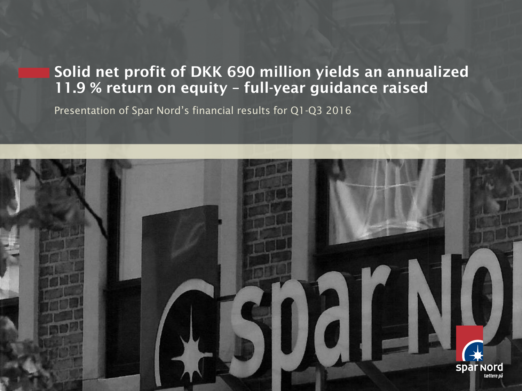# **Solid net profit of DKK 690 million yields an annualized 11.9 % return on equity – full-year guidance raised**

Presentation of Spar Nord's financial results for Q1-Q3 2016

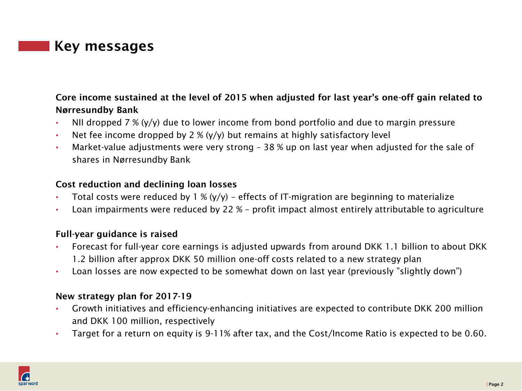### **Key messages**

### **Core income sustained at the level of 2015 when adjusted for last year's one-off gain related to Nørresundby Bank**

- NII dropped  $7\%$  (y/y) due to lower income from bond portfolio and due to margin pressure
- Net fee income dropped by 2 %  $(y/y)$  but remains at highly satisfactory level
- Market-value adjustments were very strong 38 % up on last year when adjusted for the sale of shares in Nørresundby Bank

### **Cost reduction and declining loan losses**

- Total costs were reduced by  $1\%$  (y/y) effects of IT-migration are beginning to materialize
- Loan impairments were reduced by 22 % profit impact almost entirely attributable to agriculture

### **Full-year guidance is raised**

- Forecast for full-year core earnings is adjusted upwards from around DKK 1.1 billion to about DKK 1.2 billion after approx DKK 50 million one-off costs related to a new strategy plan
- Loan losses are now expected to be somewhat down on last year (previously "slightly down")

### **New strategy plan for 2017-19**

- Growth initiatives and efficiency-enhancing initiatives are expected to contribute DKK 200 million and DKK 100 million, respectively
- Target for a return on equity is 9-11% after tax, and the Cost/Income Ratio is expected to be 0.60.

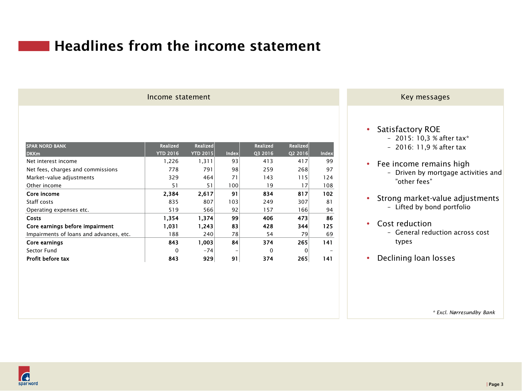# **Headlines from the income statement**

#### Income statement and the statement of the statement of the statement of the statement of the statement of the statement of the statement of the statement of the statement of the statement of the statement of the statement

| <b>SPAR NORD BANK</b>                   | <b>Realized</b> | <b>Realized</b> |       | <b>Realized</b> | <b>Realized</b> |       |
|-----------------------------------------|-----------------|-----------------|-------|-----------------|-----------------|-------|
| <b>DKKm</b>                             | <b>YTD 2016</b> | <b>YTD 2015</b> | Index | Q3 2016         | Q2 2016         | Index |
| Net interest income                     | 1,226           | 1,311           | 93    | 413             | 417             | 99    |
| Net fees, charges and commissions       | 778             | 791             | 98    | 259             | 268             | 97    |
| Market-value adjustments                | 329             | 464             | 71    | 143             | 115             | 124   |
| Other income                            | 51              | 51              | 100   | 19              | 17              | 108   |
| Core income                             | 2.384           | 2.617           | 91    | 834             | 817             | 102   |
| Staff costs                             | 835             | 807             | 103   | 249             | 307             | 81    |
| Operating expenses etc.                 | 519             | 566             | 92    | 157             | 166             | 94    |
| <b>Costs</b>                            | 1,354           | 1,374           | 99    | 406             | 473             | 86    |
| Core earnings before impairment         | 1,031           | 1.243           | 83    | 428             | 344             | 125   |
| Impairments of loans and advances, etc. | 188             | 240             | 78    | 54              | 79              | 69    |
| Core earnings                           | 843             | 1.003           | 84    | 374             | 265             | 141   |
| Sector Fund                             | $\Omega$        | $-74$           |       | 0               | 0               |       |
| Profit before tax                       | 843             | 929             | 91    | 374             | 265             | 141   |

#### • Satisfactory ROE

- 2015: 10,3 % after tax\*
- 2016: 11,9 % after tax
- Fee income remains high – Driven by mortgage activities and "other fees"
- Strong market-value adjustments – Lifted by bond portfolio
- Cost reduction
	- General reduction across cost types
- Declining loan losses

*\* Excl. Nørresundby Bank*

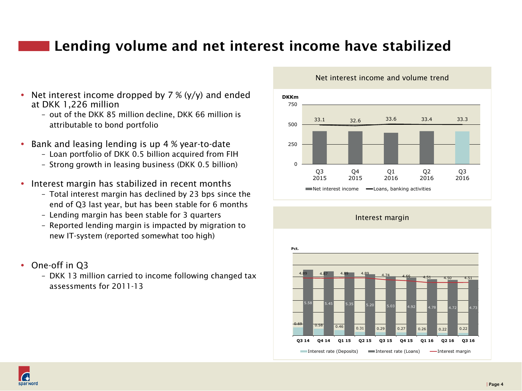# **Lending volume and net interest income have stabilized**

- Net interest income dropped by  $7\%$  (y/y) and ended at DKK 1,226 million
	- out of the DKK 85 million decline, DKK 66 million is attributable to bond portfolio
- Bank and leasing lending is up 4 % year-to-date
	- Loan portfolio of DKK 0.5 billion acquired from FIH
	- Strong growth in leasing business (DKK 0.5 billion)
- Interest margin has stabilized in recent months
	- Total interest margin has declined by 23 bps since the end of Q3 last year, but has been stable for 6 months
	- Lending margin has been stable for 3 quarters
	- Reported lending margin is impacted by migration to new IT-system (reported somewhat too high)
- One-off in Q3
	- DKK 13 million carried to income following changed tax assessments for 2011-13



Net interest income and volume trend



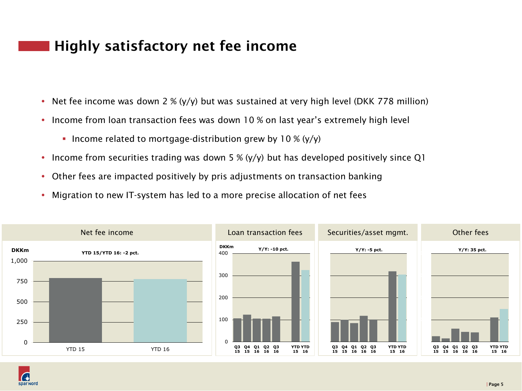# **Highly satisfactory net fee income**

- Net fee income was down 2 %  $(y/y)$  but was sustained at very high level (DKK 778 million)
- Income from loan transaction fees was down 10 % on last year's extremely high level
	- Income related to mortgage-distribution grew by 10 %  $(y/y)$
- Income from securities trading was down 5 % (y/y) but has developed positively since Q1
- Other fees are impacted positively by pris adjustments on transaction banking
- Migration to new IT-system has led to a more precise allocation of net fees



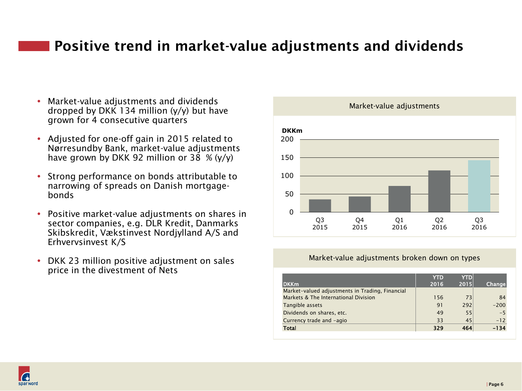# **Positive trend in market-value adjustments and dividends**

- Market-value adjustments and dividends dropped by DKK 134 million  $(y/y)$  but have grown for 4 consecutive quarters
- Adjusted for one-off gain in 2015 related to Nørresundby Bank, market-value adjustments have grown by DKK 92 million or 38  $% (y/y)$
- Strong performance on bonds attributable to narrowing of spreads on Danish mortgagebonds
- Positive market-value adjustments on shares in sector companies, e.g. DLR Kredit, Danmarks Skibskredit, Vækstinvest Nordjylland A/S and Erhvervsinvest K/S
- DKK 23 million positive adjustment on sales price in the divestment of Nets



#### Market-value adjustments broken down on types

|                                                 | <b>YTD</b> | <b>YTD</b> |        |
|-------------------------------------------------|------------|------------|--------|
| <b>DKKm</b>                                     | 2016       | 2015       | Change |
| Market-valued adjustments in Trading, Financial |            |            |        |
| Markets & The International Division            | 156        | 73         | 84     |
| Tangible assets                                 | 91         | 292        | $-200$ |
| Dividends on shares, etc.                       | 49         | 55         | $-5$   |
| Currency trade and -agio                        | 33         | 45         | $-12$  |
| Total                                           | 329        | 464        | $-134$ |

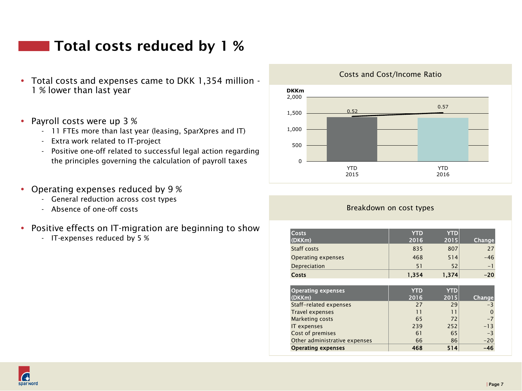### **Total costs reduced by 1 %**

- Total costs and expenses came to DKK 1,354 million 1 % lower than last year
- Payroll costs were up 3 %
	- 11 FTEs more than last year (leasing, SparXpres and IT)
	- Extra work related to IT-project
	- Positive one-off related to successful legal action regarding the principles governing the calculation of payroll taxes
- Operating expenses reduced by 9 %
	- General reduction across cost types
	- Absence of one-off costs
- Positive effects on IT-migration are beginning to show
	- IT-expenses reduced by 5 %



#### Costs and Cost/Income Ratio

#### Breakdown on cost types

| <b>Costs</b><br>(DKKm)        | <b>YTD</b><br>2016 | <b>YTD</b><br>2015 | <b>Change</b> |
|-------------------------------|--------------------|--------------------|---------------|
| Staff costs                   | 835                | 807                | 27            |
| <b>Operating expenses</b>     | 468                | 514                | $-46$         |
| Depreciation                  | 51                 | 52                 | $-1$          |
| Costs                         | 1,354              | 1,374              | $-20$         |
|                               |                    |                    |               |
| <b>Operating expenses</b>     | <b>YTD</b>         | <b>YTD</b>         |               |
| (DKKm)                        | 2016               | 2015               | <b>Change</b> |
| Staff-related expenses        | 27                 | 29                 | -3            |
| <b>Travel expenses</b>        | 11                 | 11                 | $\Omega$      |
| <b>Marketing costs</b>        | 65                 | 72                 | $-7$          |
| IT expenses                   | 239                | 252                | $-13$         |
| Cost of premises              | 61                 | 65                 | $-3$          |
| Other administrative expenses | 66                 | 86                 | $-20$         |
| <b>Operating expenses</b>     | 468                | 514                | $-46$         |

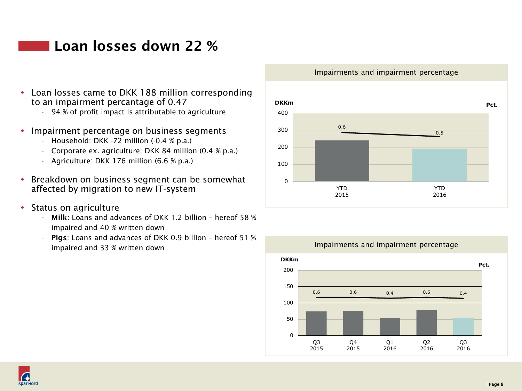### **Loan losses down 22 %**

- Loan losses came to DKK 188 million corresponding to an impairment percantage of 0.47
	- 94 % of profit impact is attributable to agriculture
- Impairment percentage on business segments
	- Household: DKK -72 million (-0.4 % p.a.)
	- Corporate ex. agriculture: DKK 84 million (0.4 % p.a.)
	- Agriculture: DKK 176 million (6.6 % p.a.)
- Breakdown on business segment can be somewhat affected by migration to new IT-system
- Status on agriculture
	- **Milk**: Loans and advances of DKK 1.2 billion hereof 58 % impaired and 40 % written down
	- **Pigs**: Loans and advances of DKK 0.9 billion hereof 51 % impaired and 33 % written down

#### Impairments and impairment percentage





#### Impairments and impairment percentage

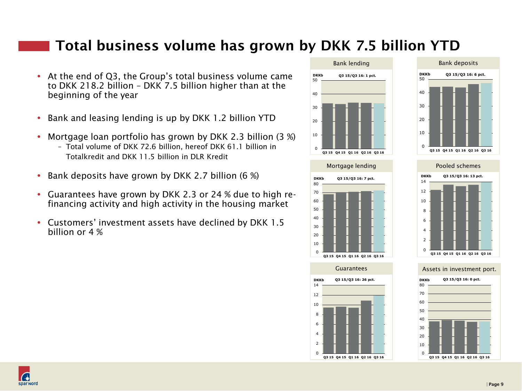### **Total business volume has grown by DKK 7.5 billion YTD**

- At the end of Q3, the Group's total business volume came to DKK 218.2 billion – DKK 7.5 billion higher than at the beginning of the year
- Bank and leasing lending is up by DKK 1.2 billion YTD
- Mortgage loan portfolio has grown by DKK 2.3 billion (3 %)
	- Total volume of DKK 72.6 billion, hereof DKK 61.1 billion in Totalkredit and DKK 11.5 billion in DLR Kredit
- Bank deposits have grown by DKK 2.7 billion  $(6\%)$
- Guarantees have grown by DKK 2.3 or 24 % due to high refinancing activity and high activity in the housing market
- Customers' investment assets have declined by DKK 1.5 billion or 4 %















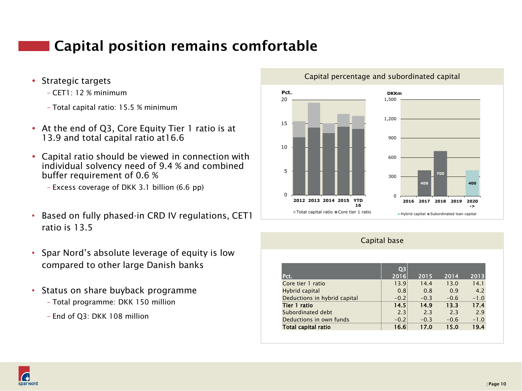# **Capital position remains comfortable**

- Strategic targets
	- CET1: 12 % minimum
	- Total capital ratio: 15.5 % minimum
- At the end of Q3, Core Equity Tier 1 ratio is at 13.9 and total capital ratio at16.6
- Capital ratio should be viewed in connection with individual solvency need of 9.4 % and combined buffer requirement of 0.6 %
	- Excess coverage of DKK 3.1 billion (6.6 pp)
- Based on fully phased-in CRD IV regulations, CET1 ratio is 13.5
- Spar Nord's absolute leverage of equity is low compared to other large Danish banks
- Status on share buyback programme
	- Total programme: DKK 150 million
	- End of Q3: DKK 108 million



#### Capital percentage and subordinated capital

#### Capital base

| Pct.                         | Q <sub>3</sub><br>2016 | 2015   | 2014   | 2013   |
|------------------------------|------------------------|--------|--------|--------|
| Core tier 1 ratio            | 13.9                   | 14.4   | 13.0   | 14.1   |
| Hybrid capital               | 0.8                    | 0.8    | 0.9    | 4.2    |
| Deductions in hybrid capital | $-0.2$                 | $-0.3$ | $-0.6$ | $-1.0$ |
| Tier 1 ratio                 | 14.5                   | 14.9   | 13.3   | 17.4   |
| Subordinated debt            | 2.3                    | 2.3    | 2.3    | 2.9    |
| Deductions in own funds      | $-0.2$                 | $-0.3$ | $-0.6$ | $-1.0$ |
| Total capital ratio          | 16.6                   | 17.0   | 15.0   | 19.4   |

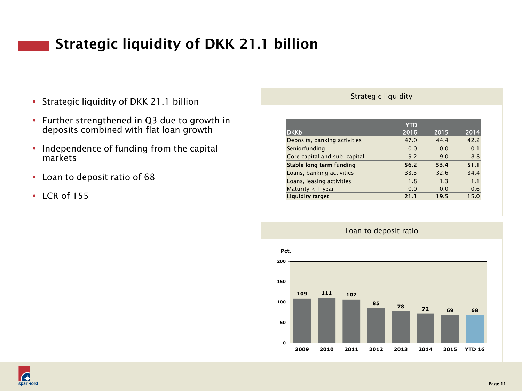# **Strategic liquidity of DKK 21.1 billion**

- Strategic liquidity of DKK 21.1 billion
- Further strengthened in Q3 due to growth in deposits combined with flat loan growth
- Independence of funding from the capital markets
- Loan to deposit ratio of 68
- $\cdot$  LCR of 155

#### Strategic liquidity

| <b>DKKb</b>                   | <b>YTD</b><br>2016 | 2015 | 2014   |
|-------------------------------|--------------------|------|--------|
| Deposits, banking activities  | 47.0               | 44.4 | 42.2   |
| Seniorfunding                 | 0.0                | 0.0  | 0.1    |
| Core capital and sub. capital | 9.2                | 9.0  | 8.8    |
| Stable long term funding      | 56.2               | 53.4 | 51.1   |
| Loans, banking activities     | 33.3               | 32.6 | 34.4   |
| Loans, leasing activities     | 1.8                | 1.3  | 1.1    |
| Maturity $<$ 1 year           | 0.0                | 0.0  | $-0.6$ |
| <b>Liquidity target</b>       | 21.1               | 19.5 | 15.0   |



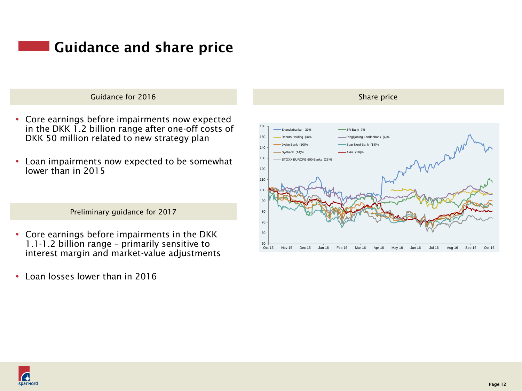# **Guidance and share price**

#### Guidance for 2016

- Core earnings before impairments now expected in the DKK 1.2 billion range after one-off costs of DKK 50 million related to new strategy plan
- Loan impairments now expected to be somewhat lower than in 2015

Preliminary guidance for 2017

- Core earnings before impairments in the DKK 1.1-1.2 billion range – primarily sensitive to interest margin and market-value adjustments
- Loan losses lower than in 2016



Nordic mid and small cap banks — share price performance last 12 months Share price

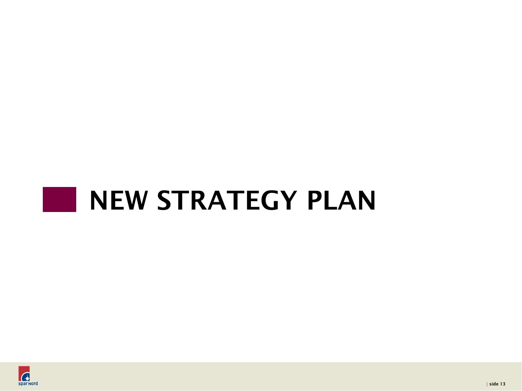# a sa n **NEW STRATEGY PLAN**

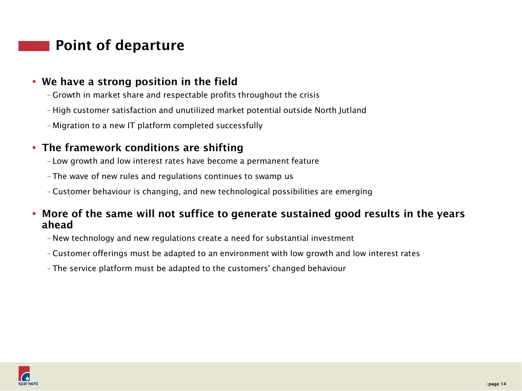# **Point of departure**

### **We have a strong position in the field**

- Growth in market share and respectable profits throughout the crisis
- High customer satisfaction and unutilized market potential outside North Jutland
- Migration to a new IT platform completed successfully

### **The framework conditions are shifting**

- Low growth and low interest rates have become a permanent feature
- The wave of new rules and regulations continues to swamp us
- Customer behaviour is changing, and new technological possibilities are emerging

### **More of the same will not suffice to generate sustained good results in the years ahead**

- New technology and new regulations create a need for substantial investment
- Customer offerings must be adapted to an environment with low growth and low interest rates
- The service platform must be adapted to the customers' changed behaviour

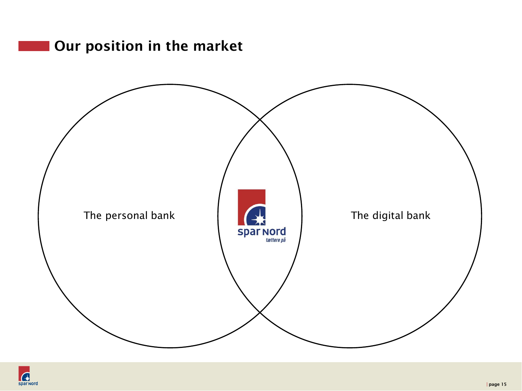# **Our position in the market**



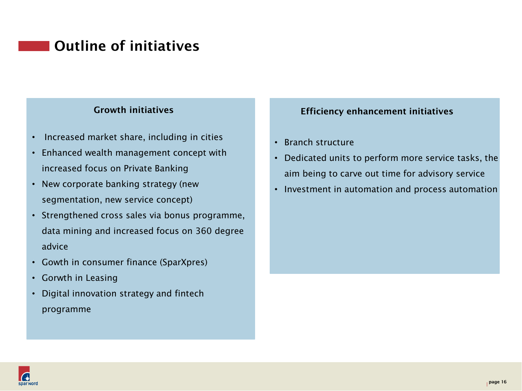# **Outline of initiatives**

### **Growth initiatives**

- Increased market share, including in cities
- Enhanced wealth management concept with increased focus on Private Banking
- New corporate banking strategy (new segmentation, new service concept)
- Strengthened cross sales via bonus programme, data mining and increased focus on 360 degree advice
- Gowth in consumer finance (SparXpres)
- Gorwth in Leasing
- Digital innovation strategy and fintech programme

### **Efficiency enhancement initiatives**

- Branch structure
- Dedicated units to perform more service tasks, the aim being to carve out time for advisory service
- Investment in automation and process automation